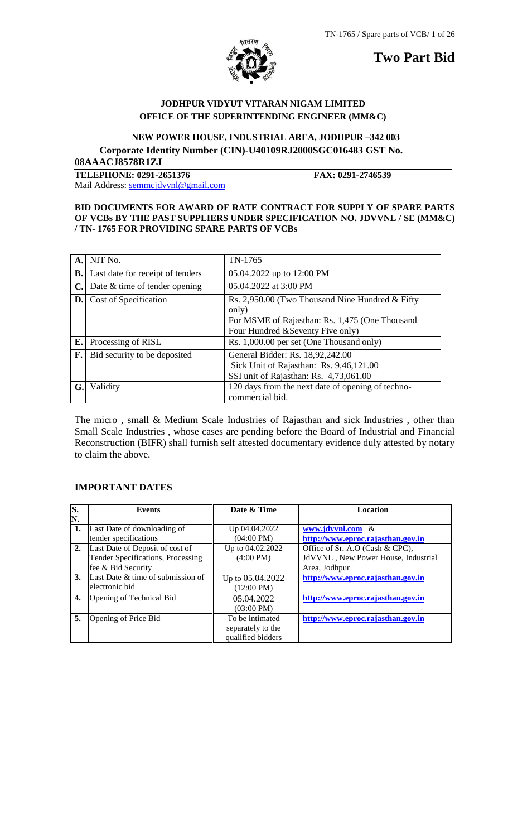

**Two Part Bid**

# **JODHPUR VIDYUT VITARAN NIGAM LIMITED OFFICE OF THE SUPERINTENDING ENGINEER (MM&C)**

 **NEW POWER HOUSE, INDUSTRIAL AREA, JODHPUR –342 003 Corporate Identity Number (CIN)-U40109RJ2000SGC016483 GST No. 08AAACJ8578R1ZJ**

**TELEPHONE: 0291-2651376 FAX: 0291-2746539** Mail Address: [semmcjdvvnl@gmail.com](mailto:semmcjdvvnl@gmail.com)

## **BID DOCUMENTS FOR AWARD OF RATE CONTRACT FOR SUPPLY OF SPARE PARTS OF VCBs BY THE PAST SUPPLIERS UNDER SPECIFICATION NO. JDVVNL / SE (MM&C) / TN- 1765 FOR PROVIDING SPARE PARTS OF VCBs**

|           | A. NIT No.                             | TN-1765                                                                                                                                          |
|-----------|----------------------------------------|--------------------------------------------------------------------------------------------------------------------------------------------------|
| <b>B.</b> | Last date for receipt of tenders       | 05.04.2022 up to 12:00 PM                                                                                                                        |
|           | $C$ . Date $\&$ time of tender opening | 05.04.2022 at 3:00 PM                                                                                                                            |
|           | <b>D.</b> Cost of Specification        | Rs. 2,950.00 (Two Thousand Nine Hundred & Fifty)<br>only)<br>For MSME of Rajasthan: Rs. 1,475 (One Thousand<br>Four Hundred & Seventy Five only) |
| E.        | Processing of RISL                     | Rs. 1,000.00 per set (One Thousand only)                                                                                                         |
| F.        | Bid security to be deposited           | General Bidder: Rs. 18,92,242.00<br>Sick Unit of Rajasthan: Rs. 9,46,121.00<br>SSI unit of Rajasthan: Rs. 4,73,061.00                            |
| G.        | Validity                               | 120 days from the next date of opening of techno-<br>commercial bid.                                                                             |

The micro , small & Medium Scale Industries of Rajasthan and sick Industries , other than Small Scale Industries , whose cases are pending before the Board of Industrial and Financial Reconstruction (BIFR) shall furnish self attested documentary evidence duly attested by notary to claim the above.

# **IMPORTANT DATES**

| S. | <b>Events</b>                     | Date & Time          | <b>Location</b>                     |
|----|-----------------------------------|----------------------|-------------------------------------|
| N. |                                   |                      |                                     |
| 1. | Last Date of downloading of       | Up 04.04.2022        | www.jdvvnl.com &                    |
|    | tender specifications             | $(04:00 \text{ PM})$ | http://www.eproc.rajasthan.gov.in   |
| 2. | Last Date of Deposit of cost of   | Up to 04.02.2022     | Office of Sr. A.O (Cash & CPC),     |
|    | Tender Specifications, Processing | $(4:00 \text{ PM})$  | JdVVNL, New Power House, Industrial |
|    | fee & Bid Security                |                      | Area, Jodhpur                       |
| 3. | Last Date & time of submission of | Up to 05.04.2022     | http://www.eproc.rajasthan.gov.in   |
|    | electronic bid                    | $(12:00 \text{ PM})$ |                                     |
| 4. | Opening of Technical Bid          | 05.04.2022           | http://www.eproc.rajasthan.gov.in   |
|    |                                   | $(03:00 \text{ PM})$ |                                     |
| 5. | Opening of Price Bid              | To be intimated      | http://www.eproc.rajasthan.gov.in   |
|    |                                   | separately to the    |                                     |
|    |                                   | qualified bidders    |                                     |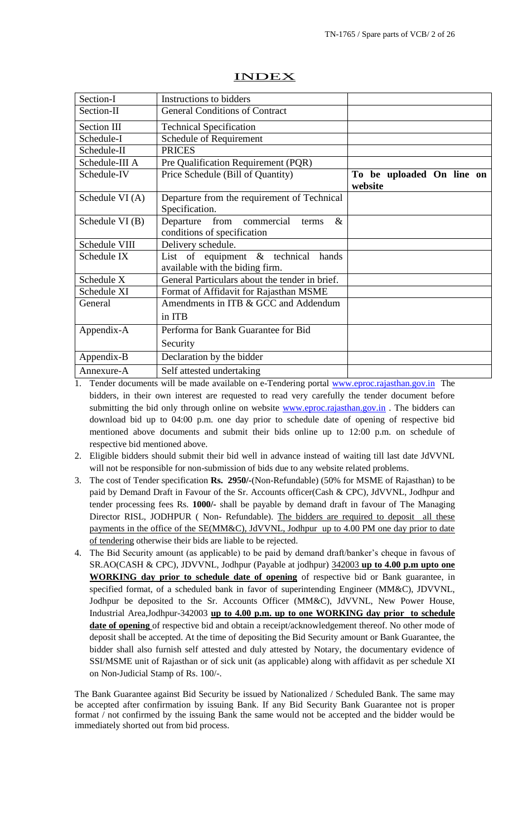| Section-I       | Instructions to bidders                                                   |                                      |
|-----------------|---------------------------------------------------------------------------|--------------------------------------|
| Section-II      | <b>General Conditions of Contract</b>                                     |                                      |
| Section III     | <b>Technical Specification</b>                                            |                                      |
| Schedule-I      | Schedule of Requirement                                                   |                                      |
| Schedule-II     | <b>PRICES</b>                                                             |                                      |
| Schedule-III A  | Pre Qualification Requirement (PQR)                                       |                                      |
| Schedule-IV     | Price Schedule (Bill of Quantity)                                         | To be uploaded On line on<br>website |
| Schedule VI (A) | Departure from the requirement of Technical<br>Specification.             |                                      |
| Schedule VI (B) | Departure from commercial<br>$\&$<br>terms<br>conditions of specification |                                      |
| Schedule VIII   | Delivery schedule.                                                        |                                      |
| Schedule IX     | List of equipment & technical<br>hands<br>available with the biding firm. |                                      |
| Schedule X      | General Particulars about the tender in brief.                            |                                      |
| Schedule XI     | Format of Affidavit for Rajasthan MSME                                    |                                      |
| General         | Amendments in ITB & GCC and Addendum                                      |                                      |
|                 | in ITB                                                                    |                                      |
| Appendix-A      | Performa for Bank Guarantee for Bid                                       |                                      |
|                 | Security                                                                  |                                      |
| Appendix-B      | Declaration by the bidder                                                 |                                      |
| Annexure-A      | Self attested undertaking                                                 |                                      |

## INDEX

1. Tender documents will be made available on e-Tendering portal [www.eproc.rajasthan.gov.in](http://www.eproc.rajasthan.gov.in/) The bidders, in their own interest are requested to read very carefully the tender document before submitting the bid only through online on website [www.eproc.rajasthan.gov.in](http://www.eproc.rajasthan.gov.in/). The bidders can download bid up to 04:00 p.m. one day prior to schedule date of opening of respective bid mentioned above documents and submit their bids online up to 12:00 p.m. on schedule of respective bid mentioned above.

- 2. Eligible bidders should submit their bid well in advance instead of waiting till last date JdVVNL will not be responsible for non-submission of bids due to any website related problems.
- 3. The cost of Tender specification **Rs. 2950/-**(Non-Refundable) (50% for MSME of Rajasthan) to be paid by Demand Draft in Favour of the Sr. Accounts officer(Cash & CPC), JdVVNL, Jodhpur and tender processing fees Rs. **1000/-** shall be payable by demand draft in favour of The Managing Director RISL, JODHPUR ( Non- Refundable). The bidders are required to deposit all these payments in the office of the SE(MM&C), JdVVNL, Jodhpur up to 4.00 PM one day prior to date of tendering otherwise their bids are liable to be rejected.
- 4. The Bid Security amount (as applicable) to be paid by demand draft/banker"s cheque in favous of SR.AO(CASH & CPC), JDVVNL, Jodhpur (Payable at jodhpur) 342003 **up to 4.00 p.m upto one WORKING day prior to schedule date of opening** of respective bid or Bank guarantee, in specified format, of a scheduled bank in favor of superintending Engineer (MM&C), JDVVNL, Jodhpur be deposited to the Sr. Accounts Officer (MM&C), JdVVNL, New Power House, Industrial Area,Jodhpur-342003 **up to 4.00 p.m. up to one WORKING day prior to schedule date of opening** of respective bid and obtain a receipt/acknowledgement thereof. No other mode of deposit shall be accepted. At the time of depositing the Bid Security amount or Bank Guarantee, the bidder shall also furnish self attested and duly attested by Notary, the documentary evidence of SSI/MSME unit of Rajasthan or of sick unit (as applicable) along with affidavit as per schedule XI on Non-Judicial Stamp of Rs. 100/-.

The Bank Guarantee against Bid Security be issued by Nationalized / Scheduled Bank. The same may be accepted after confirmation by issuing Bank. If any Bid Security Bank Guarantee not is proper format / not confirmed by the issuing Bank the same would not be accepted and the bidder would be immediately shorted out from bid process.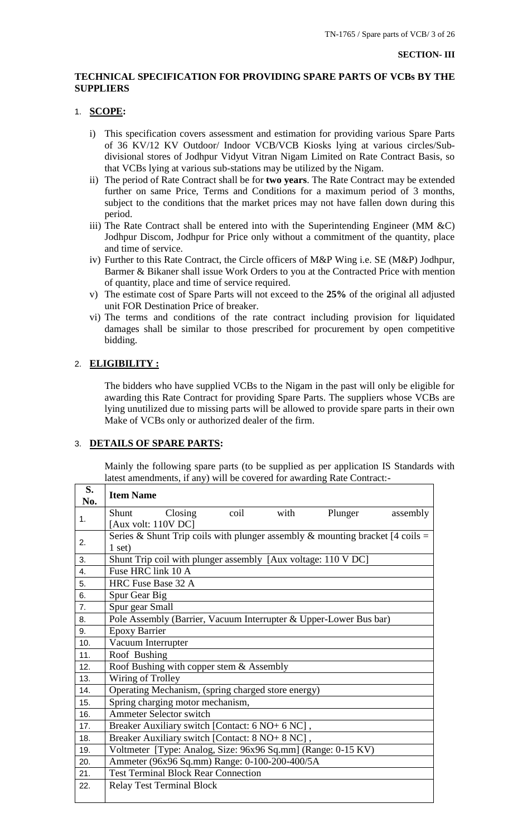## **TECHNICAL SPECIFICATION FOR PROVIDING SPARE PARTS OF VCBs BY THE SUPPLIERS**

#### 1. **SCOPE:**

- i) This specification covers assessment and estimation for providing various Spare Parts of 36 KV/12 KV Outdoor/ Indoor VCB/VCB Kiosks lying at various circles/Subdivisional stores of Jodhpur Vidyut Vitran Nigam Limited on Rate Contract Basis, so that VCBs lying at various sub-stations may be utilized by the Nigam.
- ii) The period of Rate Contract shall be for **two years**. The Rate Contract may be extended further on same Price, Terms and Conditions for a maximum period of 3 months, subject to the conditions that the market prices may not have fallen down during this period.
- iii) The Rate Contract shall be entered into with the Superintending Engineer (MM  $\&C$ ) Jodhpur Discom, Jodhpur for Price only without a commitment of the quantity, place and time of service.
- iv) Further to this Rate Contract, the Circle officers of M&P Wing i.e. SE (M&P) Jodhpur, Barmer & Bikaner shall issue Work Orders to you at the Contracted Price with mention of quantity, place and time of service required.
- v) The estimate cost of Spare Parts will not exceed to the **25%** of the original all adjusted unit FOR Destination Price of breaker.
- vi) The terms and conditions of the rate contract including provision for liquidated damages shall be similar to those prescribed for procurement by open competitive bidding.

## 2. **ELIGIBILITY :**

The bidders who have supplied VCBs to the Nigam in the past will only be eligible for awarding this Rate Contract for providing Spare Parts. The suppliers whose VCBs are lying unutilized due to missing parts will be allowed to provide spare parts in their own Make of VCBs only or authorized dealer of the firm.

## 3. **DETAILS OF SPARE PARTS:**

Mainly the following spare parts (to be supplied as per application IS Standards with latest amendments, if any) will be covered for awarding Rate Contract:-

| S.<br>No. | <b>Item Name</b>                                                              |  |  |  |  |  |
|-----------|-------------------------------------------------------------------------------|--|--|--|--|--|
|           | Closing<br>coil<br>with<br>Shunt<br>Plunger<br>assembly                       |  |  |  |  |  |
| 1.        | [Aux volt: $110V$ DC]                                                         |  |  |  |  |  |
| 2.        | Series & Shunt Trip coils with plunger assembly & mounting bracket [4 coils = |  |  |  |  |  |
|           | $1$ set)                                                                      |  |  |  |  |  |
| 3.        | Shunt Trip coil with plunger assembly [Aux voltage: 110 V DC]                 |  |  |  |  |  |
| 4.        | Fuse HRC link 10 A                                                            |  |  |  |  |  |
| 5.        | HRC Fuse Base 32 A                                                            |  |  |  |  |  |
| 6.        | Spur Gear Big                                                                 |  |  |  |  |  |
| 7.        | Spur gear Small                                                               |  |  |  |  |  |
| 8.        | Pole Assembly (Barrier, Vacuum Interrupter & Upper-Lower Bus bar)             |  |  |  |  |  |
| 9.        | <b>Epoxy Barrier</b>                                                          |  |  |  |  |  |
| 10.       | Vacuum Interrupter                                                            |  |  |  |  |  |
| 11.       | Roof Bushing                                                                  |  |  |  |  |  |
| 12.       | Roof Bushing with copper stem & Assembly                                      |  |  |  |  |  |
| 13.       | Wiring of Trolley                                                             |  |  |  |  |  |
| 14.       | Operating Mechanism, (spring charged store energy)                            |  |  |  |  |  |
| 15.       | Spring charging motor mechanism,                                              |  |  |  |  |  |
| 16.       | <b>Ammeter Selector switch</b>                                                |  |  |  |  |  |
| 17.       | Breaker Auxiliary switch [Contact: 6 NO+ 6 NC],                               |  |  |  |  |  |
| 18.       | Breaker Auxiliary switch [Contact: 8 NO+ 8 NC],                               |  |  |  |  |  |
| 19.       | Voltmeter [Type: Analog, Size: 96x96 Sq.mm] (Range: 0-15 KV)                  |  |  |  |  |  |
| 20.       | Ammeter (96x96 Sq.mm) Range: 0-100-200-400/5A                                 |  |  |  |  |  |
| 21.       | <b>Test Terminal Block Rear Connection</b>                                    |  |  |  |  |  |
| 22.       | <b>Relay Test Terminal Block</b>                                              |  |  |  |  |  |
|           |                                                                               |  |  |  |  |  |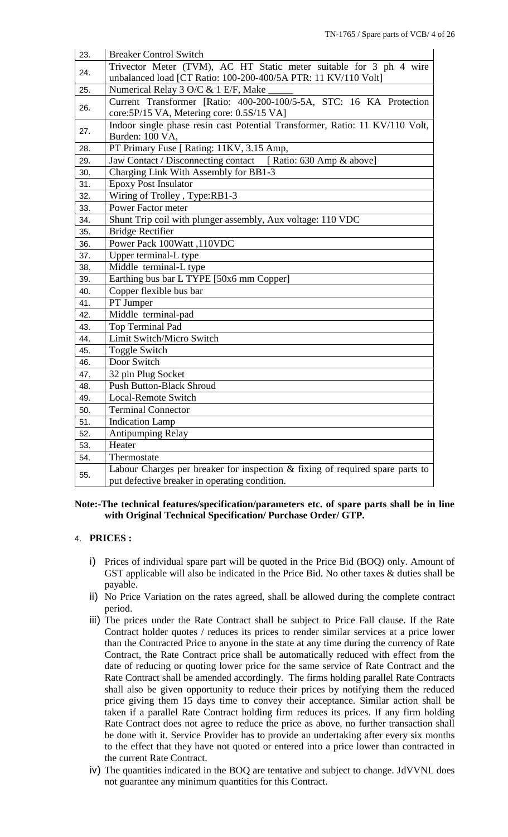| 23. | <b>Breaker Control Switch</b>                                                    |
|-----|----------------------------------------------------------------------------------|
|     | Trivector Meter (TVM), AC HT Static meter suitable for 3 ph 4 wire               |
| 24. | unbalanced load [CT Ratio: 100-200-400/5A PTR: 11 KV/110 Volt]                   |
| 25. | Numerical Relay 3 O/C & 1 E/F, Make                                              |
| 26. | Current Transformer [Ratio: 400-200-100/5-5A, STC: 16 KA Protection              |
|     | core: 5P/15 VA, Metering core: 0.5S/15 VA]                                       |
|     | Indoor single phase resin cast Potential Transformer, Ratio: 11 KV/110 Volt,     |
| 27. | Burden: 100 VA,                                                                  |
| 28. | PT Primary Fuse [ Rating: 11KV, 3.15 Amp,                                        |
| 29. | Jaw Contact / Disconnecting contact [ Ratio: 630 Amp & above]                    |
| 30. | Charging Link With Assembly for BB1-3                                            |
| 31. | <b>Epoxy Post Insulator</b>                                                      |
| 32. | Wiring of Trolley, Type:RB1-3                                                    |
| 33. | Power Factor meter                                                               |
| 34. | Shunt Trip coil with plunger assembly, Aux voltage: 110 VDC                      |
| 35. | <b>Bridge Rectifier</b>                                                          |
| 36. | Power Pack 100Watt, 110VDC                                                       |
| 37. | Upper terminal-L type                                                            |
| 38. | Middle terminal-L type                                                           |
| 39. | Earthing bus bar L TYPE [50x6 mm Copper]                                         |
| 40. | Copper flexible bus bar                                                          |
| 41. | PT Jumper                                                                        |
| 42. | Middle terminal-pad                                                              |
| 43. | Top Terminal Pad                                                                 |
| 44. | Limit Switch/Micro Switch                                                        |
| 45. | Toggle Switch                                                                    |
| 46. | Door Switch                                                                      |
| 47. | 32 pin Plug Socket                                                               |
| 48. | <b>Push Button-Black Shroud</b>                                                  |
| 49. | Local-Remote Switch                                                              |
| 50. | <b>Terminal Connector</b>                                                        |
| 51. | <b>Indication Lamp</b>                                                           |
| 52. | <b>Antipumping Relay</b>                                                         |
| 53. | Heater                                                                           |
| 54. | Thermostate                                                                      |
|     | Labour Charges per breaker for inspection $\&$ fixing of required spare parts to |
| 55. | put defective breaker in operating condition.                                    |

## **Note:-The technical features/specification/parameters etc. of spare parts shall be in line with Original Technical Specification/ Purchase Order/ GTP.**

## 4. **PRICES :**

- i) Prices of individual spare part will be quoted in the Price Bid (BOQ) only. Amount of GST applicable will also be indicated in the Price Bid. No other taxes & duties shall be payable.
- ii) No Price Variation on the rates agreed, shall be allowed during the complete contract period.
- iii) The prices under the Rate Contract shall be subject to Price Fall clause. If the Rate Contract holder quotes / reduces its prices to render similar services at a price lower than the Contracted Price to anyone in the state at any time during the currency of Rate Contract, the Rate Contract price shall be automatically reduced with effect from the date of reducing or quoting lower price for the same service of Rate Contract and the Rate Contract shall be amended accordingly. The firms holding parallel Rate Contracts shall also be given opportunity to reduce their prices by notifying them the reduced price giving them 15 days time to convey their acceptance. Similar action shall be taken if a parallel Rate Contract holding firm reduces its prices. If any firm holding Rate Contract does not agree to reduce the price as above, no further transaction shall be done with it. Service Provider has to provide an undertaking after every six months to the effect that they have not quoted or entered into a price lower than contracted in the current Rate Contract.
- iv) The quantities indicated in the BOQ are tentative and subject to change. JdVVNL does not guarantee any minimum quantities for this Contract.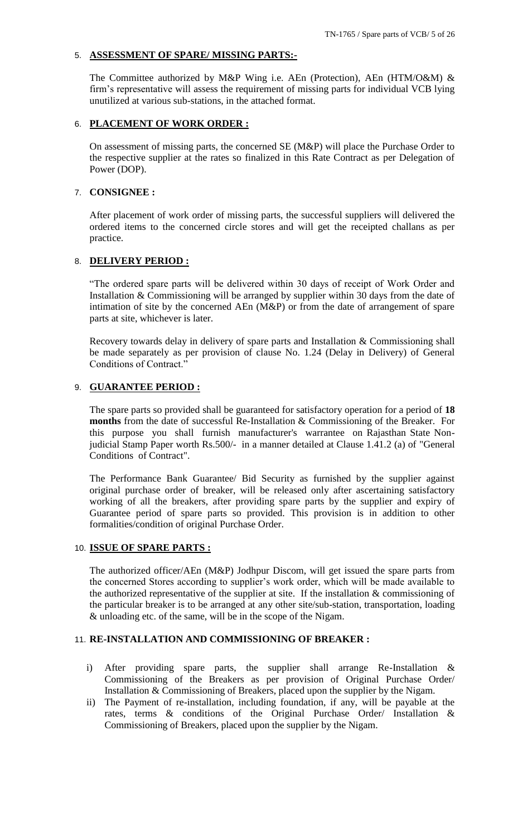## 5. **ASSESSMENT OF SPARE/ MISSING PARTS:-**

The Committee authorized by M&P Wing i.e. AEn (Protection), AEn (HTM/O&M) & firm"s representative will assess the requirement of missing parts for individual VCB lying unutilized at various sub-stations, in the attached format.

## 6. **PLACEMENT OF WORK ORDER :**

On assessment of missing parts, the concerned SE (M&P) will place the Purchase Order to the respective supplier at the rates so finalized in this Rate Contract as per Delegation of Power (DOP).

## 7. **CONSIGNEE :**

After placement of work order of missing parts, the successful suppliers will delivered the ordered items to the concerned circle stores and will get the receipted challans as per practice.

# 8. **DELIVERY PERIOD :**

"The ordered spare parts will be delivered within 30 days of receipt of Work Order and Installation & Commissioning will be arranged by supplier within 30 days from the date of intimation of site by the concerned AEn (M&P) or from the date of arrangement of spare parts at site, whichever is later.

Recovery towards delay in delivery of spare parts and Installation & Commissioning shall be made separately as per provision of clause No. 1.24 (Delay in Delivery) of General Conditions of Contract."

## 9. **GUARANTEE PERIOD :**

The spare parts so provided shall be guaranteed for satisfactory operation for a period of **18 months** from the date of successful Re-Installation & Commissioning of the Breaker. For this purpose you shall furnish manufacturer's warrantee on Rajasthan State Nonjudicial Stamp Paper worth Rs.500/- in a manner detailed at Clause 1.41.2 (a) of "General Conditions of Contract".

The Performance Bank Guarantee/ Bid Security as furnished by the supplier against original purchase order of breaker, will be released only after ascertaining satisfactory working of all the breakers, after providing spare parts by the supplier and expiry of Guarantee period of spare parts so provided. This provision is in addition to other formalities/condition of original Purchase Order.

## 10. **ISSUE OF SPARE PARTS :**

The authorized officer/AEn (M&P) Jodhpur Discom, will get issued the spare parts from the concerned Stores according to supplier"s work order, which will be made available to the authorized representative of the supplier at site. If the installation  $\&$  commissioning of the particular breaker is to be arranged at any other site/sub-station, transportation, loading & unloading etc. of the same, will be in the scope of the Nigam.

# 11. **RE-INSTALLATION AND COMMISSIONING OF BREAKER :**

- i) After providing spare parts, the supplier shall arrange Re-Installation & Commissioning of the Breakers as per provision of Original Purchase Order/ Installation & Commissioning of Breakers, placed upon the supplier by the Nigam.
- ii) The Payment of re-installation, including foundation, if any, will be payable at the rates, terms & conditions of the Original Purchase Order/ Installation & Commissioning of Breakers, placed upon the supplier by the Nigam.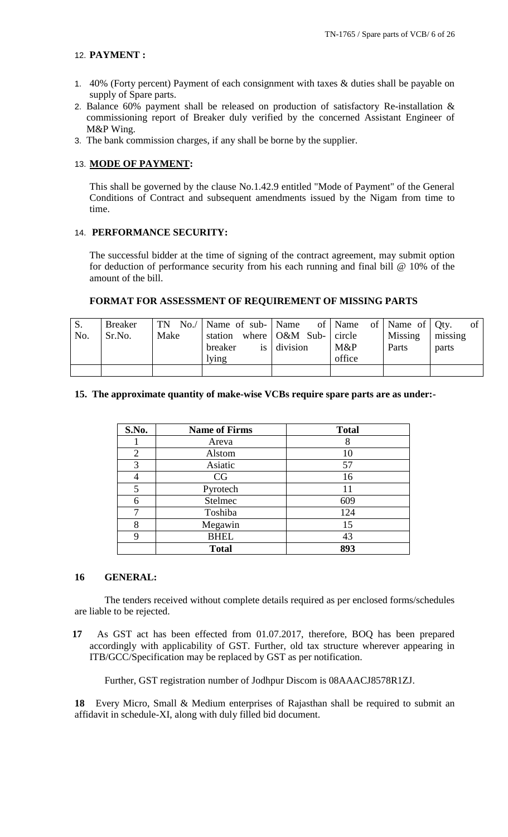## 12. **PAYMENT :**

- 1. 40% (Forty percent) Payment of each consignment with taxes & duties shall be payable on supply of Spare parts.
- 2. Balance 60% payment shall be released on production of satisfactory Re-installation & commissioning report of Breaker duly verified by the concerned Assistant Engineer of M&P Wing.
- 3. The bank commission charges, if any shall be borne by the supplier.

## 13. **MODE OF PAYMENT:**

This shall be governed by the clause No.1.42.9 entitled "Mode of Payment" of the General Conditions of Contract and subsequent amendments issued by the Nigam from time to time.

#### 14. **PERFORMANCE SECURITY:**

The successful bidder at the time of signing of the contract agreement, may submit option for deduction of performance security from his each running and final bill @ 10% of the amount of the bill.

## **FORMAT FOR ASSESSMENT OF REQUIREMENT OF MISSING PARTS**

| S.<br>No. | <b>Breaker</b><br>Sr.No. | Make | TN No./   Name of sub-   Name of   Name of   Name of   Qty.<br>station where O&M Sub- circle<br>breaker<br>lying | $is$ division | M&P<br>office | Missing<br>Parts | of<br>missing<br>parts |
|-----------|--------------------------|------|------------------------------------------------------------------------------------------------------------------|---------------|---------------|------------------|------------------------|
|           |                          |      |                                                                                                                  |               |               |                  |                        |

## **15. The approximate quantity of make-wise VCBs require spare parts are as under:-**

| S.No.          | <b>Name of Firms</b> | <b>Total</b> |
|----------------|----------------------|--------------|
|                | Areva                |              |
| $\overline{2}$ | Alstom               | 10           |
| 3              | Asiatic              | 57           |
|                | CG                   | 16           |
| 5              | Pyrotech             | 11           |
| 6              | Stelmec              | 609          |
|                | Toshiba              | 124          |
| 8              | Megawin              | 15           |
| Q              | <b>BHEL</b>          | 43           |
|                | <b>Total</b>         | 893          |

## **16 GENERAL:**

The tenders received without complete details required as per enclosed forms/schedules are liable to be rejected.

 **17** As GST act has been effected from 01.07.2017, therefore, BOQ has been prepared accordingly with applicability of GST. Further, old tax structure wherever appearing in ITB/GCC/Specification may be replaced by GST as per notification.

Further, GST registration number of Jodhpur Discom is 08AAACJ8578R1ZJ.

**18** Every Micro, Small & Medium enterprises of Rajasthan shall be required to submit an affidavit in schedule-XI, along with duly filled bid document.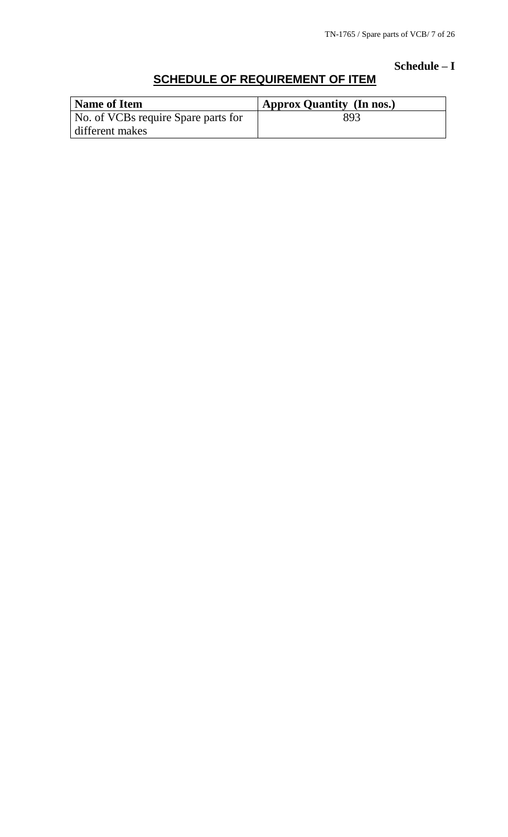**Schedule – I**

# **SCHEDULE OF REQUIREMENT OF ITEM**

| Name of Item                        | ' Approx Quantity (In nos.) |
|-------------------------------------|-----------------------------|
| No. of VCBs require Spare parts for | 893                         |
| different makes                     |                             |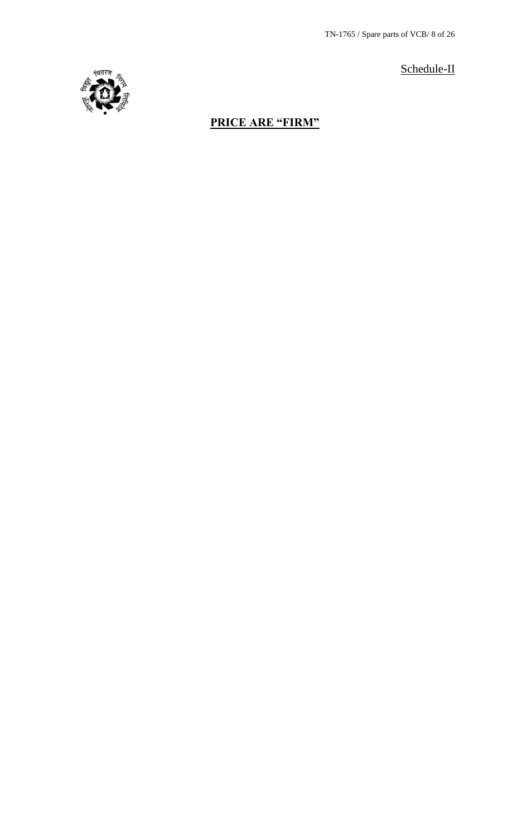TN-1765 / Spare parts of VCB/ 8 of 26





# **PRICE ARE "FIRM"**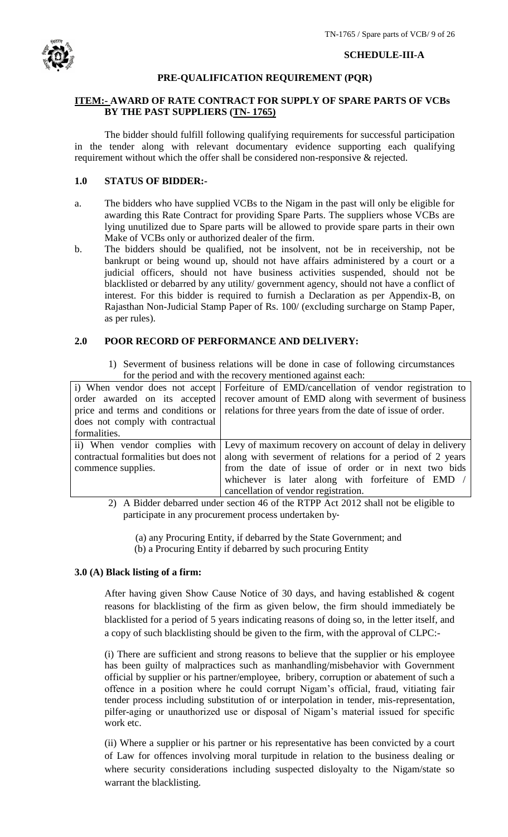

## **SCHEDULE-III-A**

# **PRE-QUALIFICATION REQUIREMENT (PQR)**

# **ITEM:- AWARD OF RATE CONTRACT FOR SUPPLY OF SPARE PARTS OF VCBs BY THE PAST SUPPLIERS (TN- 1765)**

The bidder should fulfill following qualifying requirements for successful participation in the tender along with relevant documentary evidence supporting each qualifying requirement without which the offer shall be considered non-responsive & rejected.

# **1.0 STATUS OF BIDDER:-**

- a. The bidders who have supplied VCBs to the Nigam in the past will only be eligible for awarding this Rate Contract for providing Spare Parts. The suppliers whose VCBs are lying unutilized due to Spare parts will be allowed to provide spare parts in their own Make of VCBs only or authorized dealer of the firm.
- b. The bidders should be qualified, not be insolvent, not be in receivership, not be bankrupt or being wound up, should not have affairs administered by a court or a judicial officers, should not have business activities suspended, should not be blacklisted or debarred by any utility/ government agency, should not have a conflict of interest. For this bidder is required to furnish a Declaration as per Appendix-B, on Rajasthan Non-Judicial Stamp Paper of Rs. 100/ (excluding surcharge on Stamp Paper, as per rules).

# **2.0 POOR RECORD OF PERFORMANCE AND DELIVERY:**

1) Severment of business relations will be done in case of following circumstances for the period and with the recovery mentioned against each:

|                                      | TOT the period and with the recovery including against each.                                   |  |  |
|--------------------------------------|------------------------------------------------------------------------------------------------|--|--|
|                                      | i) When vendor does not accept Forfeiture of EMD/cancellation of vendor registration to        |  |  |
| order awarded on its accepted        | recover amount of EMD along with severment of business                                         |  |  |
|                                      | price and terms and conditions or   relations for three years from the date of issue of order. |  |  |
| does not comply with contractual     |                                                                                                |  |  |
| formalities.                         |                                                                                                |  |  |
|                                      | ii) When vendor complies with Levy of maximum recovery on account of delay in delivery         |  |  |
| contractual formalities but does not | along with severment of relations for a period of 2 years                                      |  |  |
| commence supplies.                   | from the date of issue of order or in next two bids                                            |  |  |
|                                      | whichever is later along with forfeiture of EMD $/$                                            |  |  |
|                                      | cancellation of vendor registration.                                                           |  |  |

2) A Bidder debarred under section 46 of the RTPP Act 2012 shall not be eligible to participate in any procurement process undertaken by‐

 (a) any Procuring Entity, if debarred by the State Government; and (b) a Procuring Entity if debarred by such procuring Entity

# **3.0 (A) Black listing of a firm:**

After having given Show Cause Notice of 30 days, and having established & cogent reasons for blacklisting of the firm as given below, the firm should immediately be blacklisted for a period of 5 years indicating reasons of doing so, in the letter itself, and a copy of such blacklisting should be given to the firm, with the approval of CLPC:-

(i) There are sufficient and strong reasons to believe that the supplier or his employee has been guilty of malpractices such as manhandling/misbehavior with Government official by supplier or his partner/employee, bribery, corruption or abatement of such a offence in a position where he could corrupt Nigam"s official, fraud, vitiating fair tender process including substitution of or interpolation in tender, mis-representation, pilfer-aging or unauthorized use or disposal of Nigam"s material issued for specific work etc.

(ii) Where a supplier or his partner or his representative has been convicted by a court of Law for offences involving moral turpitude in relation to the business dealing or where security considerations including suspected disloyalty to the Nigam/state so warrant the blacklisting.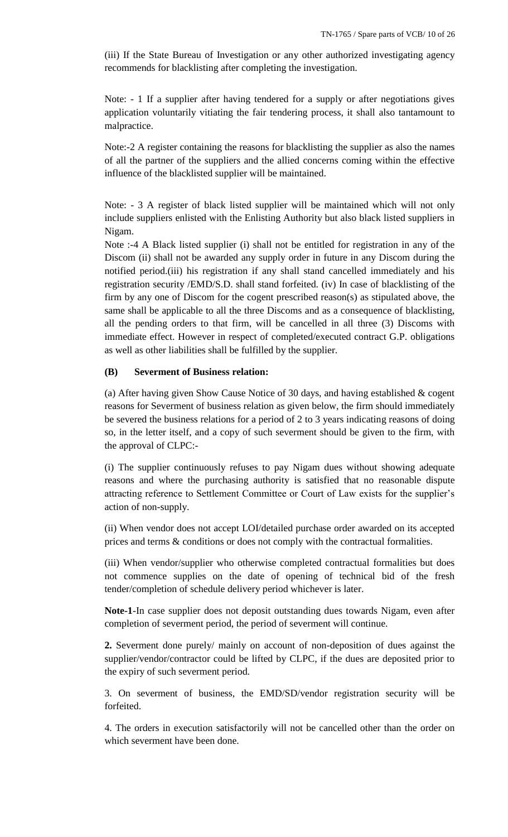(iii) If the State Bureau of Investigation or any other authorized investigating agency recommends for blacklisting after completing the investigation.

Note: - 1 If a supplier after having tendered for a supply or after negotiations gives application voluntarily vitiating the fair tendering process, it shall also tantamount to malpractice.

Note:-2 A register containing the reasons for blacklisting the supplier as also the names of all the partner of the suppliers and the allied concerns coming within the effective influence of the blacklisted supplier will be maintained.

Note: - 3 A register of black listed supplier will be maintained which will not only include suppliers enlisted with the Enlisting Authority but also black listed suppliers in Nigam.

Note :-4 A Black listed supplier (i) shall not be entitled for registration in any of the Discom (ii) shall not be awarded any supply order in future in any Discom during the notified period.(iii) his registration if any shall stand cancelled immediately and his registration security /EMD/S.D. shall stand forfeited. (iv) In case of blacklisting of the firm by any one of Discom for the cogent prescribed reason(s) as stipulated above, the same shall be applicable to all the three Discoms and as a consequence of blacklisting, all the pending orders to that firm, will be cancelled in all three (3) Discoms with immediate effect. However in respect of completed/executed contract G.P. obligations as well as other liabilities shall be fulfilled by the supplier.

## **(B) Severment of Business relation:**

(a) After having given Show Cause Notice of 30 days, and having established & cogent reasons for Severment of business relation as given below, the firm should immediately be severed the business relations for a period of 2 to 3 years indicating reasons of doing so, in the letter itself, and a copy of such severment should be given to the firm, with the approval of CLPC:-

(i) The supplier continuously refuses to pay Nigam dues without showing adequate reasons and where the purchasing authority is satisfied that no reasonable dispute attracting reference to Settlement Committee or Court of Law exists for the supplier"s action of non-supply.

(ii) When vendor does not accept LOI/detailed purchase order awarded on its accepted prices and terms & conditions or does not comply with the contractual formalities.

(iii) When vendor/supplier who otherwise completed contractual formalities but does not commence supplies on the date of opening of technical bid of the fresh tender/completion of schedule delivery period whichever is later.

**Note-1**-In case supplier does not deposit outstanding dues towards Nigam, even after completion of severment period, the period of severment will continue.

**2.** Severment done purely/ mainly on account of non-deposition of dues against the supplier/vendor/contractor could be lifted by CLPC, if the dues are deposited prior to the expiry of such severment period.

3. On severment of business, the EMD/SD/vendor registration security will be forfeited.

4. The orders in execution satisfactorily will not be cancelled other than the order on which severment have been done.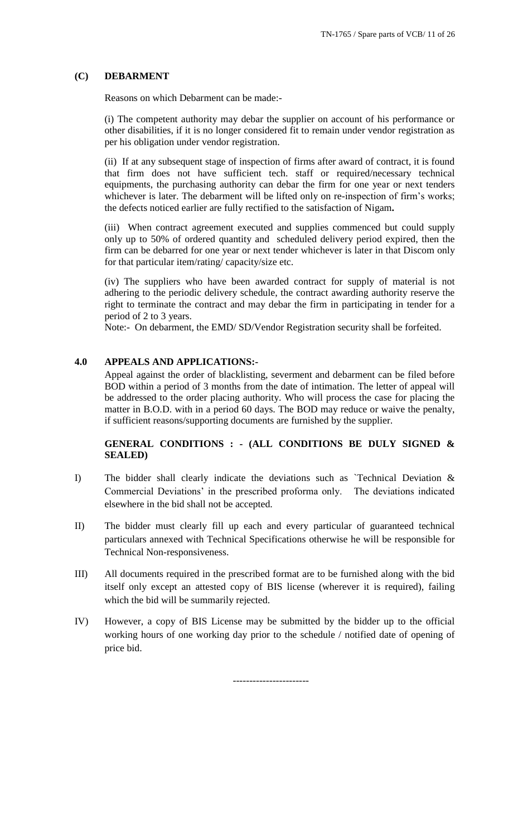## **(C) DEBARMENT**

Reasons on which Debarment can be made:-

(i) The competent authority may debar the supplier on account of his performance or other disabilities, if it is no longer considered fit to remain under vendor registration as per his obligation under vendor registration.

(ii) If at any subsequent stage of inspection of firms after award of contract, it is found that firm does not have sufficient tech. staff or required/necessary technical equipments, the purchasing authority can debar the firm for one year or next tenders whichever is later. The debarment will be lifted only on re-inspection of firm's works; the defects noticed earlier are fully rectified to the satisfaction of Nigam**.** 

(iii) When contract agreement executed and supplies commenced but could supply only up to 50% of ordered quantity and scheduled delivery period expired, then the firm can be debarred for one year or next tender whichever is later in that Discom only for that particular item/rating/ capacity/size etc.

(iv) The suppliers who have been awarded contract for supply of material is not adhering to the periodic delivery schedule, the contract awarding authority reserve the right to terminate the contract and may debar the firm in participating in tender for a period of 2 to 3 years.

Note:- On debarment, the EMD/ SD/Vendor Registration security shall be forfeited.

# **4.0 APPEALS AND APPLICATIONS:-**

Appeal against the order of blacklisting, severment and debarment can be filed before BOD within a period of 3 months from the date of intimation. The letter of appeal will be addressed to the order placing authority. Who will process the case for placing the matter in B.O.D. with in a period 60 days. The BOD may reduce or waive the penalty, if sufficient reasons/supporting documents are furnished by the supplier.

# **GENERAL CONDITIONS : - (ALL CONDITIONS BE DULY SIGNED & SEALED)**

- I) The bidder shall clearly indicate the deviations such as `Technical Deviation & Commercial Deviations" in the prescribed proforma only. The deviations indicated elsewhere in the bid shall not be accepted.
- II) The bidder must clearly fill up each and every particular of guaranteed technical particulars annexed with Technical Specifications otherwise he will be responsible for Technical Non-responsiveness.
- III) All documents required in the prescribed format are to be furnished along with the bid itself only except an attested copy of BIS license (wherever it is required), failing which the bid will be summarily rejected.
- IV) However, a copy of BIS License may be submitted by the bidder up to the official working hours of one working day prior to the schedule / notified date of opening of price bid.

-----------------------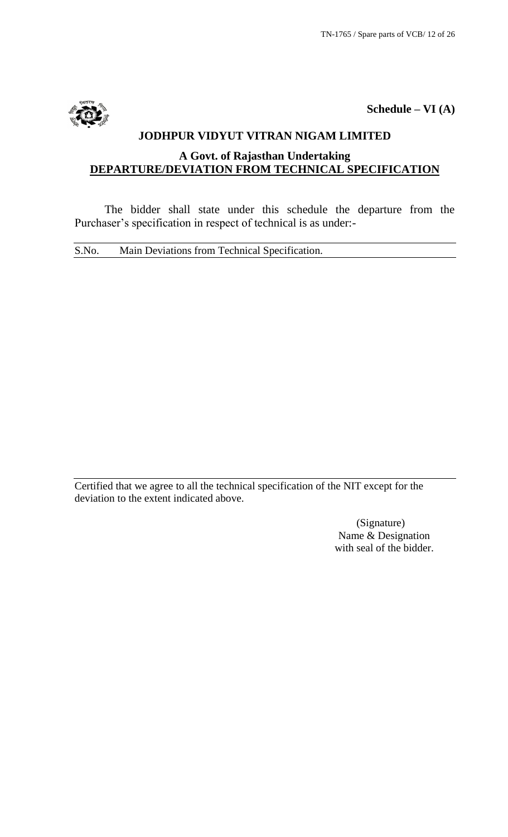

# **Schedule – VI (A)**

# **JODHPUR VIDYUT VITRAN NIGAM LIMITED A Govt. of Rajasthan Undertaking DEPARTURE/DEVIATION FROM TECHNICAL SPECIFICATION**

The bidder shall state under this schedule the departure from the Purchaser's specification in respect of technical is as under:-

S.No. Main Deviations from Technical Specification.

Certified that we agree to all the technical specification of the NIT except for the deviation to the extent indicated above.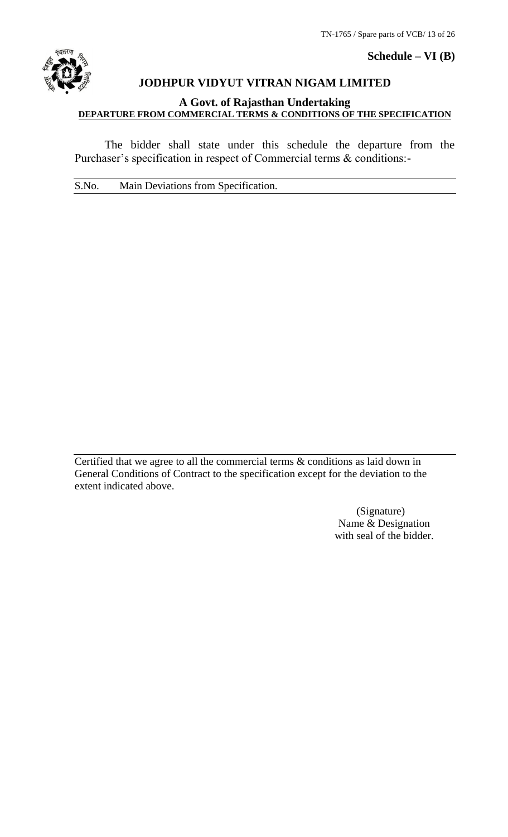

# **Schedule – VI (B)**

# **JODHPUR VIDYUT VITRAN NIGAM LIMITED**

# **A Govt. of Rajasthan Undertaking DEPARTURE FROM COMMERCIAL TERMS & CONDITIONS OF THE SPECIFICATION**

The bidder shall state under this schedule the departure from the Purchaser's specification in respect of Commercial terms & conditions:-

S.No. Main Deviations from Specification.

Certified that we agree to all the commercial terms & conditions as laid down in General Conditions of Contract to the specification except for the deviation to the extent indicated above.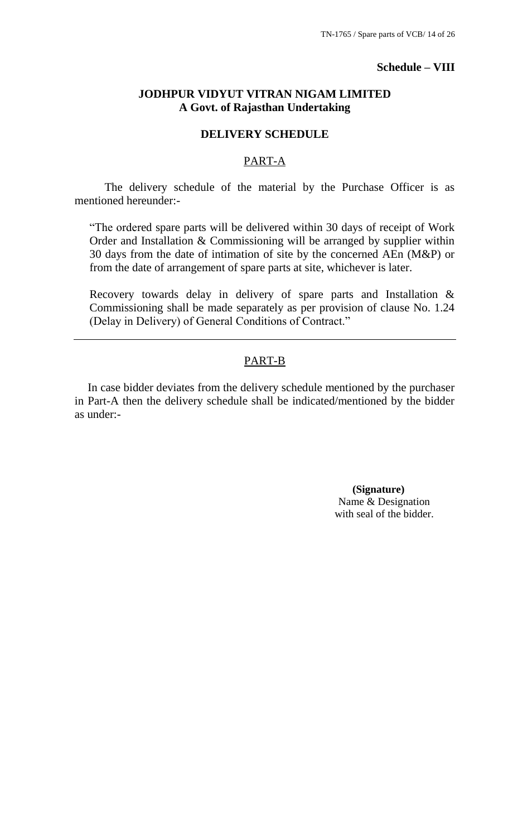# **Schedule – VIII**

# **JODHPUR VIDYUT VITRAN NIGAM LIMITED A Govt. of Rajasthan Undertaking**

# **DELIVERY SCHEDULE**

# PART-A

The delivery schedule of the material by the Purchase Officer is as mentioned hereunder:-

"The ordered spare parts will be delivered within 30 days of receipt of Work Order and Installation & Commissioning will be arranged by supplier within 30 days from the date of intimation of site by the concerned AEn (M&P) or from the date of arrangement of spare parts at site, whichever is later.

Recovery towards delay in delivery of spare parts and Installation & Commissioning shall be made separately as per provision of clause No. 1.24 (Delay in Delivery) of General Conditions of Contract."

# PART-B

In case bidder deviates from the delivery schedule mentioned by the purchaser in Part-A then the delivery schedule shall be indicated/mentioned by the bidder as under:-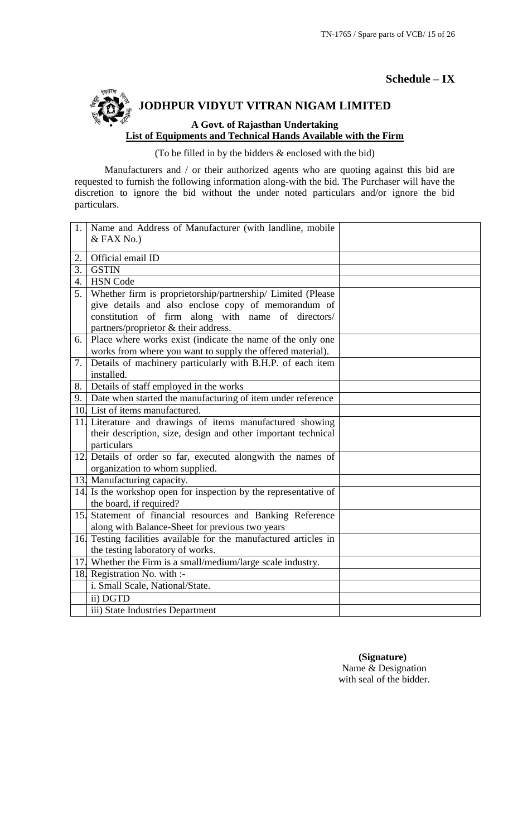**Schedule – IX**

# **JODHPUR VIDYUT VITRAN NIGAM LIMITED A Govt. of Rajasthan Undertaking List of Equipments and Technical Hands Available with the Firm**

(To be filled in by the bidders & enclosed with the bid)

Manufacturers and / or their authorized agents who are quoting against this bid are requested to furnish the following information along-with the bid. The Purchaser will have the discretion to ignore the bid without the under noted particulars and/or ignore the bid particulars.

| 1. | Name and Address of Manufacturer (with landline, mobile           |  |
|----|-------------------------------------------------------------------|--|
|    | $&$ FAX No.)                                                      |  |
| 2. | Official email ID                                                 |  |
| 3. | <b>GSTIN</b>                                                      |  |
| 4. | <b>HSN</b> Code                                                   |  |
| 5. | Whether firm is proprietorship/partnership/ Limited (Please       |  |
|    | give details and also enclose copy of memorandum of               |  |
|    | constitution of firm along with name of directors/                |  |
|    | partners/proprietor & their address.                              |  |
| 6. | Place where works exist (indicate the name of the only one        |  |
|    | works from where you want to supply the offered material).        |  |
| 7. | Details of machinery particularly with B.H.P. of each item        |  |
|    | installed.                                                        |  |
| 8. | Details of staff employed in the works                            |  |
|    | 9. Date when started the manufacturing of item under reference    |  |
|    | 10. List of items manufactured.                                   |  |
|    | 11. Literature and drawings of items manufactured showing         |  |
|    | their description, size, design and other important technical     |  |
|    | particulars                                                       |  |
|    | 12. Details of order so far, executed alongwith the names of      |  |
|    | organization to whom supplied.                                    |  |
|    | 13. Manufacturing capacity.                                       |  |
|    | 14. Is the workshop open for inspection by the representative of  |  |
|    | the board, if required?                                           |  |
|    | 15. Statement of financial resources and Banking Reference        |  |
|    | along with Balance-Sheet for previous two years                   |  |
|    | 16. Testing facilities available for the manufactured articles in |  |
|    | the testing laboratory of works.                                  |  |
|    | 17. Whether the Firm is a small/medium/large scale industry.      |  |
|    | 18. Registration No. with :-                                      |  |
|    | i. Small Scale, National/State.                                   |  |
|    | ii) DGTD                                                          |  |
|    | iii) State Industries Department                                  |  |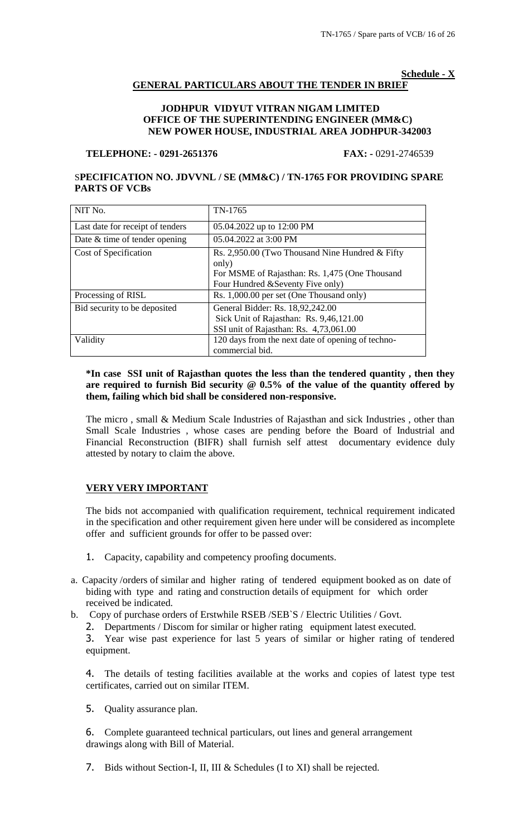#### **Schedule - X**

# **GENERAL PARTICULARS ABOUT THE TENDER IN BRIEF**

## **JODHPUR VIDYUT VITRAN NIGAM LIMITED OFFICE OF THE SUPERINTENDING ENGINEER (MM&C) NEW POWER HOUSE, INDUSTRIAL AREA JODHPUR-342003**

## **TELEPHONE: - 0291-2651376 FAX: -** 0291-2746539

# S**PECIFICATION NO. JDVVNL / SE (MM&C) / TN-1765 FOR PROVIDING SPARE PARTS OF VCBs**

| NIT No.                          | TN-1765                                                                                                                                         |
|----------------------------------|-------------------------------------------------------------------------------------------------------------------------------------------------|
| Last date for receipt of tenders | 05.04.2022 up to 12:00 PM                                                                                                                       |
| Date & time of tender opening    | 05.04.2022 at 3:00 PM                                                                                                                           |
| Cost of Specification            | Rs. 2,950.00 (Two Thousand Nine Hundred & Fifty<br>only)<br>For MSME of Rajasthan: Rs. 1,475 (One Thousand<br>Four Hundred & Seventy Five only) |
| Processing of RISL               | Rs. 1,000.00 per set (One Thousand only)                                                                                                        |
| Bid security to be deposited     | General Bidder: Rs. 18,92,242.00<br>Sick Unit of Rajasthan: Rs. 9,46,121.00<br>SSI unit of Rajasthan: Rs. 4,73,061.00                           |
| Validity                         | 120 days from the next date of opening of techno-<br>commercial bid.                                                                            |

## **\*In case SSI unit of Rajasthan quotes the less than the tendered quantity , then they are required to furnish Bid security @ 0.5% of the value of the quantity offered by them, failing which bid shall be considered non-responsive.**

The micro , small & Medium Scale Industries of Rajasthan and sick Industries , other than Small Scale Industries , whose cases are pending before the Board of Industrial and Financial Reconstruction (BIFR) shall furnish self attest documentary evidence duly attested by notary to claim the above.

# **VERY VERY IMPORTANT**

The bids not accompanied with qualification requirement, technical requirement indicated in the specification and other requirement given here under will be considered as incomplete offer and sufficient grounds for offer to be passed over:

- 1. Capacity, capability and competency proofing documents.
- a. Capacity /orders of similar and higher rating of tendered equipment booked as on date of biding with type and rating and construction details of equipment for which order received be indicated.
- b. Copy of purchase orders of Erstwhile RSEB /SEB`S / Electric Utilities / Govt.
	- 2. Departments / Discom for similar or higher rating equipment latest executed.

3. Year wise past experience for last 5 years of similar or higher rating of tendered equipment.

4. The details of testing facilities available at the works and copies of latest type test certificates, carried out on similar ITEM.

5. Quality assurance plan.

6. Complete guaranteed technical particulars, out lines and general arrangement drawings along with Bill of Material.

7. Bids without Section-I, II, III & Schedules (I to XI) shall be rejected.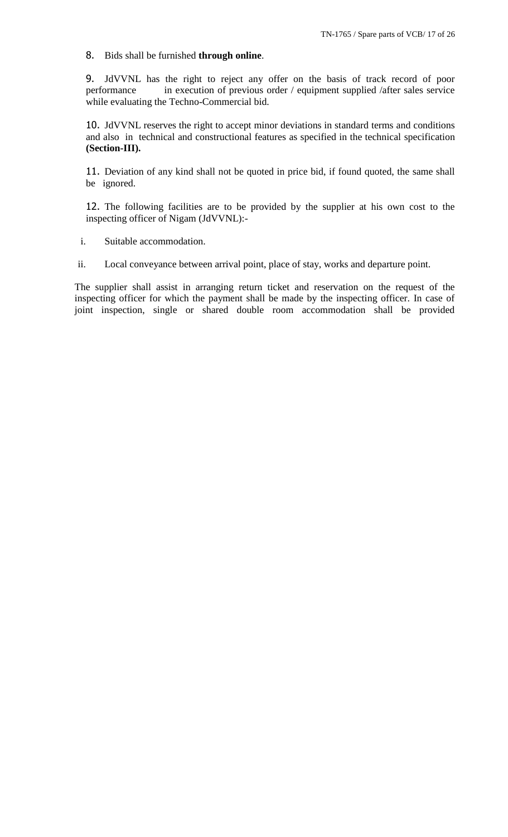# 8. Bids shall be furnished **through online**.

9. JdVVNL has the right to reject any offer on the basis of track record of poor performance in execution of previous order / equipment supplied /after sales service in execution of previous order / equipment supplied /after sales service while evaluating the Techno-Commercial bid.

10. JdVVNL reserves the right to accept minor deviations in standard terms and conditions and also in technical and constructional features as specified in the technical specification **(Section-III).**

11. Deviation of any kind shall not be quoted in price bid, if found quoted, the same shall be ignored.

12. The following facilities are to be provided by the supplier at his own cost to the inspecting officer of Nigam (JdVVNL):-

i. Suitable accommodation.

ii. Local conveyance between arrival point, place of stay, works and departure point.

The supplier shall assist in arranging return ticket and reservation on the request of the inspecting officer for which the payment shall be made by the inspecting officer. In case of joint inspection, single or shared double room accommodation shall be provided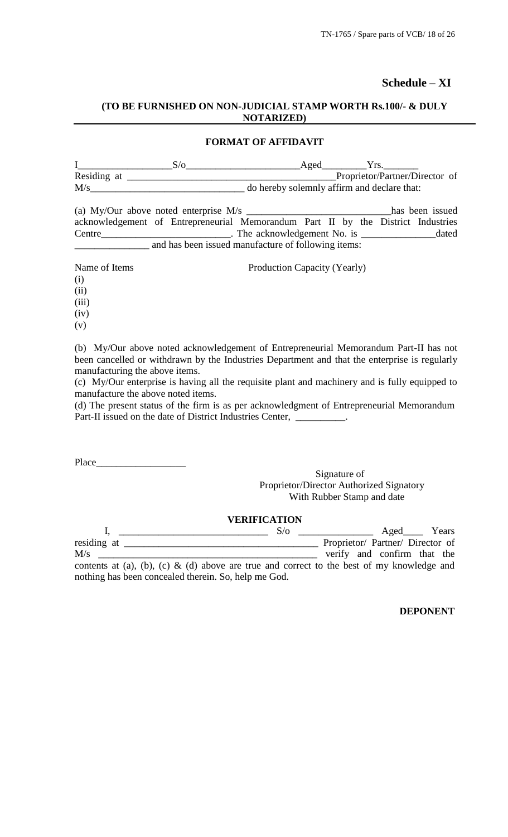# **Schedule – XI**

# **(TO BE FURNISHED ON NON-JUDICIAL STAMP WORTH Rs.100/- & DULY NOTARIZED)**

## **FORMAT OF AFFIDAVIT**

|                | Aged |                                             |  |
|----------------|------|---------------------------------------------|--|
| Residing at    |      | Proprietor/Partner/Director of              |  |
| $\mathrm{M/s}$ |      | do hereby solemnly affirm and declare that: |  |

| (a) My/Our above noted enterprise $M/s$                                          |                                                     |                            |  |  | has been issued |
|----------------------------------------------------------------------------------|-----------------------------------------------------|----------------------------|--|--|-----------------|
| acknowledgement of Entrepreneurial Memorandum Part II by the District Industries |                                                     |                            |  |  |                 |
| Centre                                                                           |                                                     | The acknowledgement No. is |  |  | dated           |
|                                                                                  | and has been issued manufacture of following items: |                            |  |  |                 |

| Name of Items | Production Capacity (Yearly) |
|---------------|------------------------------|
| (i)           |                              |
| (ii)          |                              |
| (iii)         |                              |
| (iv)          |                              |
| (v)           |                              |

(b) My/Our above noted acknowledgement of Entrepreneurial Memorandum Part-II has not been cancelled or withdrawn by the Industries Department and that the enterprise is regularly manufacturing the above items.

(c) My/Our enterprise is having all the requisite plant and machinery and is fully equipped to manufacture the above noted items.

(d) The present status of the firm is as per acknowledgment of Entrepreneurial Memorandum Part-II issued on the date of District Industries Center, \_\_\_\_\_\_\_\_\_\_\_\_\_\_\_\_\_\_\_\_\_\_

Place\_\_\_\_\_\_\_\_\_\_\_\_\_\_\_\_\_\_

# Signature of Proprietor/Director Authorized Signatory With Rubber Stamp and date

## **VERIFICATION**

|             |                                                                                            | $S/\sigma$ |  | Aged Years                       |  |
|-------------|--------------------------------------------------------------------------------------------|------------|--|----------------------------------|--|
| residing at |                                                                                            |            |  | Proprietor/ Partner/ Director of |  |
| M/s         |                                                                                            |            |  | verify and confirm that the      |  |
|             | contents at (a), (b), (c) & (d) above are true and correct to the best of my knowledge and |            |  |                                  |  |
|             | nothing has been concealed therein. So, help me God.                                       |            |  |                                  |  |

## **DEPONENT**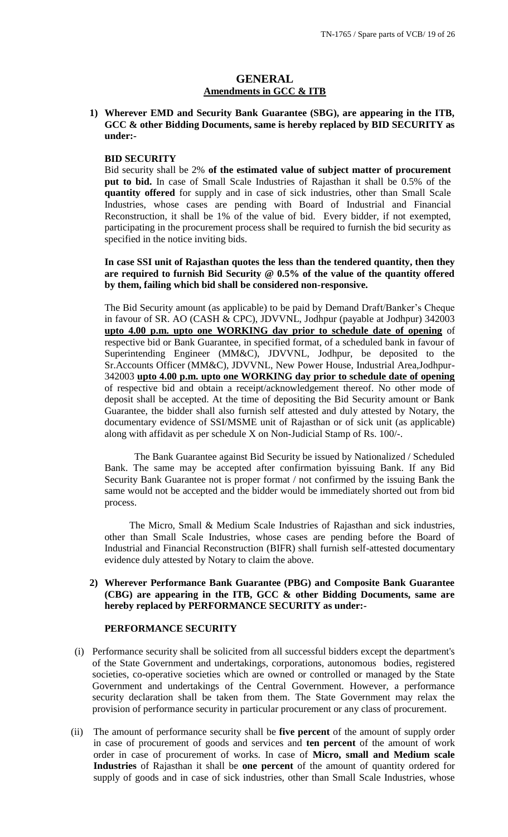# **GENERAL Amendments in GCC & ITB**

**1) Wherever EMD and Security Bank Guarantee (SBG), are appearing in the ITB, GCC & other Bidding Documents, same is hereby replaced by BID SECURITY as under:-**

## **BID SECURITY**

Bid security shall be 2% **of the estimated value of subject matter of procurement put to bid.** In case of Small Scale Industries of Rajasthan it shall be 0.5% of the **quantity offered** for supply and in case of sick industries, other than Small Scale Industries, whose cases are pending with Board of Industrial and Financial Reconstruction, it shall be 1% of the value of bid. Every bidder, if not exempted, participating in the procurement process shall be required to furnish the bid security as specified in the notice inviting bids.

**In case SSI unit of Rajasthan quotes the less than the tendered quantity, then they are required to furnish Bid Security @ 0.5% of the value of the quantity offered by them, failing which bid shall be considered non-responsive.** 

The Bid Security amount (as applicable) to be paid by Demand Draft/Banker"s Cheque in favour of SR. AO (CASH & CPC), JDVVNL, Jodhpur (payable at Jodhpur) 342003 **upto 4.00 p.m. upto one WORKING day prior to schedule date of opening** of respective bid or Bank Guarantee, in specified format, of a scheduled bank in favour of Superintending Engineer (MM&C), JDVVNL, Jodhpur, be deposited to the Sr.Accounts Officer (MM&C), JDVVNL, New Power House, Industrial Area,Jodhpur-342003 **upto 4.00 p.m. upto one WORKING day prior to schedule date of opening** of respective bid and obtain a receipt/acknowledgement thereof. No other mode of deposit shall be accepted. At the time of depositing the Bid Security amount or Bank Guarantee, the bidder shall also furnish self attested and duly attested by Notary, the documentary evidence of SSI/MSME unit of Rajasthan or of sick unit (as applicable) along with affidavit as per schedule X on Non-Judicial Stamp of Rs. 100/-.

The Bank Guarantee against Bid Security be issued by Nationalized / Scheduled Bank. The same may be accepted after confirmation byissuing Bank. If any Bid Security Bank Guarantee not is proper format / not confirmed by the issuing Bank the same would not be accepted and the bidder would be immediately shorted out from bid process.

 The Micro, Small & Medium Scale Industries of Rajasthan and sick industries, other than Small Scale Industries, whose cases are pending before the Board of Industrial and Financial Reconstruction (BIFR) shall furnish self-attested documentary evidence duly attested by Notary to claim the above.

## **2) Wherever Performance Bank Guarantee (PBG) and Composite Bank Guarantee (CBG) are appearing in the ITB, GCC & other Bidding Documents, same are hereby replaced by PERFORMANCE SECURITY as under:-**

## **PERFORMANCE SECURITY**

- (i) Performance security shall be solicited from all successful bidders except the department's of the State Government and undertakings, corporations, autonomous bodies, registered societies, co-operative societies which are owned or controlled or managed by the State Government and undertakings of the Central Government. However, a performance security declaration shall be taken from them. The State Government may relax the provision of performance security in particular procurement or any class of procurement.
- (ii) The amount of performance security shall be **five percent** of the amount of supply order in case of procurement of goods and services and **ten percent** of the amount of work order in case of procurement of works. In case of **Micro, small and Medium scale Industries** of Rajasthan it shall be **one percent** of the amount of quantity ordered for supply of goods and in case of sick industries, other than Small Scale Industries, whose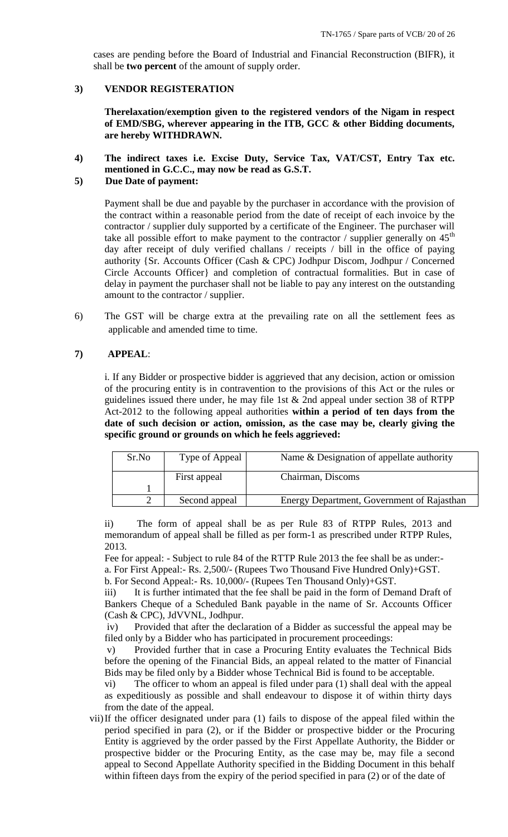cases are pending before the Board of Industrial and Financial Reconstruction (BIFR), it shall be **two percent** of the amount of supply order.

## **3) VENDOR REGISTERATION**

**Therelaxation/exemption given to the registered vendors of the Nigam in respect of EMD/SBG, wherever appearing in the ITB, GCC & other Bidding documents, are hereby WITHDRAWN.**

**4) The indirect taxes i.e. Excise Duty, Service Tax, VAT/CST, Entry Tax etc. mentioned in G.C.C., may now be read as G.S.T.**

## **5) Due Date of payment:**

Payment shall be due and payable by the purchaser in accordance with the provision of the contract within a reasonable period from the date of receipt of each invoice by the contractor / supplier duly supported by a certificate of the Engineer. The purchaser will take all possible effort to make payment to the contractor / supplier generally on  $45<sup>th</sup>$ day after receipt of duly verified challans / receipts / bill in the office of paying authority {Sr. Accounts Officer (Cash & CPC) Jodhpur Discom, Jodhpur / Concerned Circle Accounts Officer} and completion of contractual formalities. But in case of delay in payment the purchaser shall not be liable to pay any interest on the outstanding amount to the contractor / supplier.

6) The GST will be charge extra at the prevailing rate on all the settlement fees as applicable and amended time to time.

## **7) APPEAL**:

i. If any Bidder or prospective bidder is aggrieved that any decision, action or omission of the procuring entity is in contravention to the provisions of this Act or the rules or guidelines issued there under, he may file 1st  $&$  2nd appeal under section 38 of RTPP Act-2012 to the following appeal authorities **within a period of ten days from the date of such decision or action, omission, as the case may be, clearly giving the specific ground or grounds on which he feels aggrieved:** 

| Sr.No | Type of Appeal | Name & Designation of appellate authority  |
|-------|----------------|--------------------------------------------|
|       | First appeal   | Chairman, Discoms                          |
|       |                |                                            |
|       | Second appeal  | Energy Department, Government of Rajasthan |

ii) The form of appeal shall be as per Rule 83 of RTPP Rules, 2013 and memorandum of appeal shall be filled as per form-1 as prescribed under RTPP Rules, 2013.

Fee for appeal: - Subject to rule 84 of the RTTP Rule 2013 the fee shall be as under: a. For First Appeal:- Rs. 2,500/- (Rupees Two Thousand Five Hundred Only)+GST.

b. For Second Appeal:- Rs. 10,000/- (Rupees Ten Thousand Only)+GST.

iii) It is further intimated that the fee shall be paid in the form of Demand Draft of Bankers Cheque of a Scheduled Bank payable in the name of Sr. Accounts Officer (Cash & CPC), JdVVNL, Jodhpur.

iv) Provided that after the declaration of a Bidder as successful the appeal may be filed only by a Bidder who has participated in procurement proceedings:

v) Provided further that in case a Procuring Entity evaluates the Technical Bids before the opening of the Financial Bids, an appeal related to the matter of Financial Bids may be filed only by a Bidder whose Technical Bid is found to be acceptable.

vi) The officer to whom an appeal is filed under para (1) shall deal with the appeal as expeditiously as possible and shall endeavour to dispose it of within thirty days from the date of the appeal.

vii)If the officer designated under para (1) fails to dispose of the appeal filed within the period specified in para (2), or if the Bidder or prospective bidder or the Procuring Entity is aggrieved by the order passed by the First Appellate Authority, the Bidder or prospective bidder or the Procuring Entity, as the case may be, may file a second appeal to Second Appellate Authority specified in the Bidding Document in this behalf within fifteen days from the expiry of the period specified in para (2) or of the date of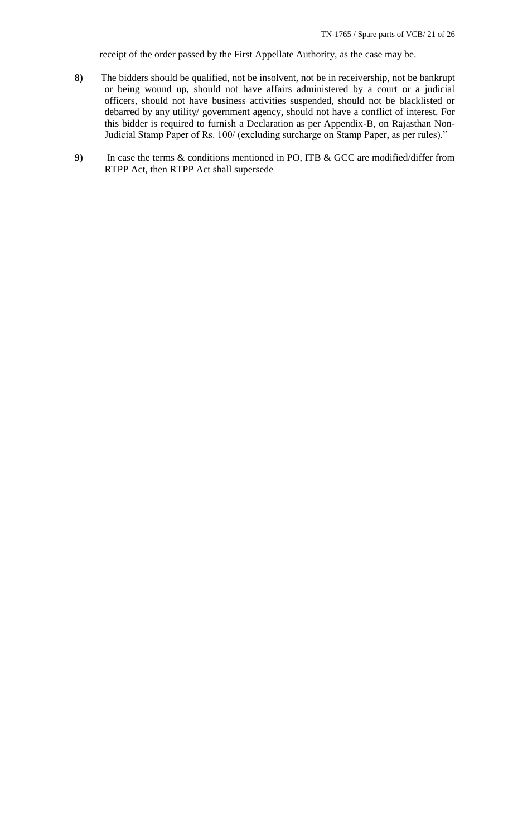receipt of the order passed by the First Appellate Authority, as the case may be.

- **8)** The bidders should be qualified, not be insolvent, not be in receivership, not be bankrupt or being wound up, should not have affairs administered by a court or a judicial officers, should not have business activities suspended, should not be blacklisted or debarred by any utility/ government agency, should not have a conflict of interest. For this bidder is required to furnish a Declaration as per Appendix-B, on Rajasthan Non-Judicial Stamp Paper of Rs. 100/ (excluding surcharge on Stamp Paper, as per rules)."
- **9)** In case the terms & conditions mentioned in PO, ITB & GCC are modified/differ from RTPP Act, then RTPP Act shall supersede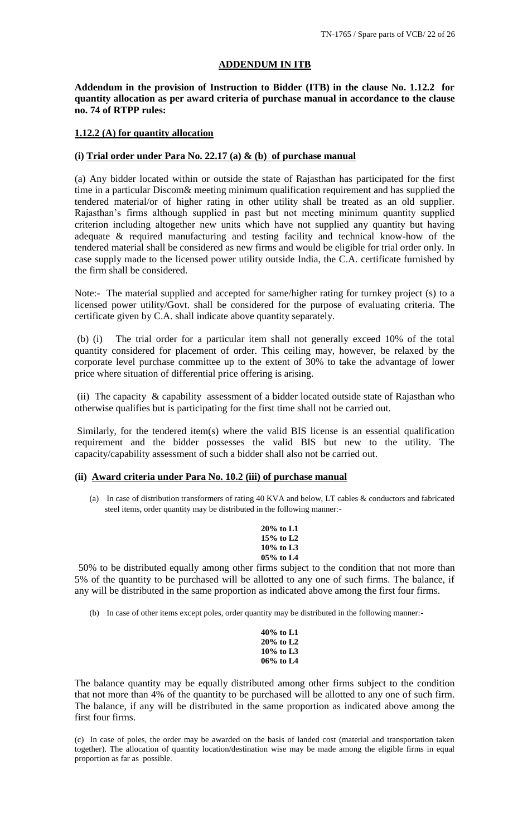#### **ADDENDUM IN ITB**

**Addendum in the provision of Instruction to Bidder (ITB) in the clause No. 1.12.2 for quantity allocation as per award criteria of purchase manual in accordance to the clause no. 74 of RTPP rules:**

#### **1.12.2 (A) for quantity allocation**

#### **(i) Trial order under Para No. 22.17 (a) & (b) of purchase manual**

(a) Any bidder located within or outside the state of Rajasthan has participated for the first time in a particular Discom& meeting minimum qualification requirement and has supplied the tendered material/or of higher rating in other utility shall be treated as an old supplier. Rajasthan"s firms although supplied in past but not meeting minimum quantity supplied criterion including altogether new units which have not supplied any quantity but having adequate & required manufacturing and testing facility and technical know-how of the tendered material shall be considered as new firms and would be eligible for trial order only. In case supply made to the licensed power utility outside India, the C.A. certificate furnished by the firm shall be considered.

Note:- The material supplied and accepted for same/higher rating for turnkey project (s) to a licensed power utility/Govt. shall be considered for the purpose of evaluating criteria. The certificate given by C.A. shall indicate above quantity separately.

(b) (i) The trial order for a particular item shall not generally exceed 10% of the total quantity considered for placement of order. This ceiling may, however, be relaxed by the corporate level purchase committee up to the extent of 30% to take the advantage of lower price where situation of differential price offering is arising.

(ii) The capacity & capability assessment of a bidder located outside state of Rajasthan who otherwise qualifies but is participating for the first time shall not be carried out.

Similarly, for the tendered item(s) where the valid BIS license is an essential qualification requirement and the bidder possesses the valid BIS but new to the utility. The capacity/capability assessment of such a bidder shall also not be carried out.

#### **(ii) Award criteria under Para No. 10.2 (iii) of purchase manual**

(a) In case of distribution transformers of rating 40 KVA and below, LT cables & conductors and fabricated steel items, order quantity may be distributed in the following manner:-

> **20% to L1 15% to L2 10% to L3 05% to L4**

50% to be distributed equally among other firms subject to the condition that not more than 5% of the quantity to be purchased will be allotted to any one of such firms. The balance, if any will be distributed in the same proportion as indicated above among the first four firms.

(b) In case of other items except poles, order quantity may be distributed in the following manner:-

| 40% to L1    |  |
|--------------|--|
| $20\%$ to L2 |  |
| 10% to L3    |  |
| 06% to L4    |  |

The balance quantity may be equally distributed among other firms subject to the condition that not more than 4% of the quantity to be purchased will be allotted to any one of such firm. The balance, if any will be distributed in the same proportion as indicated above among the first four firms.

(c) In case of poles, the order may be awarded on the basis of landed cost (material and transportation taken together). The allocation of quantity location/destination wise may be made among the eligible firms in equal proportion as far as possible.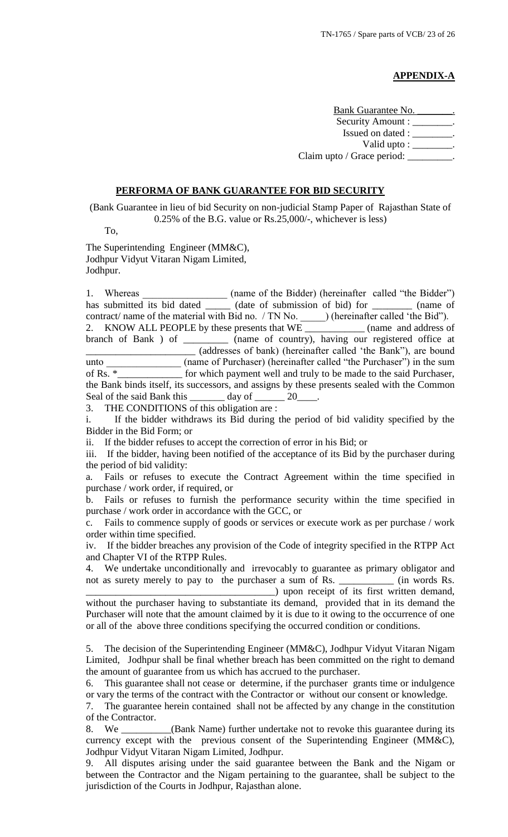# **APPENDIX-A**

Bank Guarantee No. Security Amount : \_\_\_\_\_\_\_\_. Issued on dated : \_\_\_\_\_\_\_\_. Valid upto :  $\_\_\_\_\_\_\_\_\$ . Claim upto / Grace period: \_\_\_\_\_\_\_\_\_.

## **PERFORMA OF BANK GUARANTEE FOR BID SECURITY**

(Bank Guarantee in lieu of bid Security on non-judicial Stamp Paper of Rajasthan State of 0.25% of the B.G. value or Rs.25,000/-, whichever is less)

To,

The Superintending Engineer (MM&C), Jodhpur Vidyut Vitaran Nigam Limited, Jodhpur.

1. Whereas \_\_\_\_\_\_\_\_\_\_\_\_\_\_\_\_ (name of the Bidder) (hereinafter called "the Bidder") has submitted its bid dated \_\_\_\_\_\_\_ (date of submission of bid) for \_\_\_\_\_\_\_\_\_\_ (name of contract/ name of the material with Bid no. / TN No. \_\_\_\_\_\_\_) (hereinafter called 'the Bid''). 2. KNOW ALL PEOPLE by these presents that WE \_\_\_\_\_\_\_\_\_\_\_\_ (name and address of branch of Bank ) of \_\_\_\_\_\_\_\_\_ (name of country), having our registered office at \_\_\_\_\_\_\_\_\_\_\_\_\_\_\_\_\_\_\_\_\_\_ (addresses of bank) (hereinafter called "the Bank"), are bound unto \_\_\_\_\_\_\_\_\_\_\_\_\_\_\_\_\_ (name of Purchaser) (hereinafter called "the Purchaser") in the sum of Rs. \*\_\_\_\_\_\_\_\_\_\_\_\_\_ for which payment well and truly to be made to the said Purchaser, the Bank binds itself, its successors, and assigns by these presents sealed with the Common Seal of the said Bank this \_\_\_\_\_\_\_\_ day of \_\_\_\_\_\_\_ 20\_

3. THE CONDITIONS of this obligation are :

i. If the bidder withdraws its Bid during the period of bid validity specified by the Bidder in the Bid Form; or

ii. If the bidder refuses to accept the correction of error in his Bid; or

iii. If the bidder, having been notified of the acceptance of its Bid by the purchaser during the period of bid validity:

a. Fails or refuses to execute the Contract Agreement within the time specified in purchase / work order, if required, or

b. Fails or refuses to furnish the performance security within the time specified in purchase / work order in accordance with the GCC, or

c. Fails to commence supply of goods or services or execute work as per purchase / work order within time specified.

iv. If the bidder breaches any provision of the Code of integrity specified in the RTPP Act and Chapter VI of the RTPP Rules.

4. We undertake unconditionally and irrevocably to guarantee as primary obligator and not as surety merely to pay to the purchaser a sum of Rs. \_\_\_\_\_\_\_\_\_\_\_ (in words Rs. \_\_\_\_\_\_\_\_\_\_\_\_\_\_\_\_\_\_\_\_\_\_\_\_\_\_\_\_\_\_\_\_\_\_\_\_\_\_) upon receipt of its first written demand,

without the purchaser having to substantiate its demand, provided that in its demand the Purchaser will note that the amount claimed by it is due to it owing to the occurrence of one or all of the above three conditions specifying the occurred condition or conditions.

5. The decision of the Superintending Engineer (MM&C), Jodhpur Vidyut Vitaran Nigam Limited, Jodhpur shall be final whether breach has been committed on the right to demand the amount of guarantee from us which has accrued to the purchaser.

6. This guarantee shall not cease or determine, if the purchaser grants time or indulgence or vary the terms of the contract with the Contractor or without our consent or knowledge.

7. The guarantee herein contained shall not be affected by any change in the constitution of the Contractor.

8. We \_\_\_\_\_\_\_\_\_\_(Bank Name) further undertake not to revoke this guarantee during its currency except with the previous consent of the Superintending Engineer (MM&C), Jodhpur Vidyut Vitaran Nigam Limited, Jodhpur.

9. All disputes arising under the said guarantee between the Bank and the Nigam or between the Contractor and the Nigam pertaining to the guarantee, shall be subject to the jurisdiction of the Courts in Jodhpur, Rajasthan alone.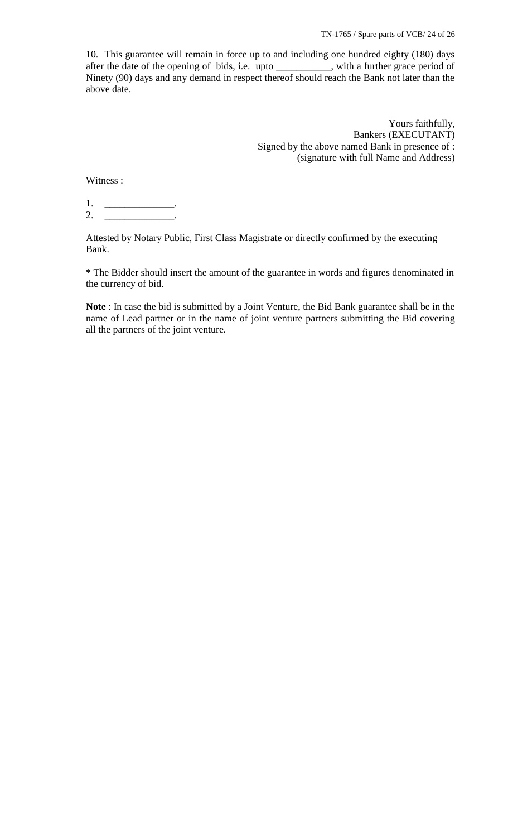10. This guarantee will remain in force up to and including one hundred eighty (180) days after the date of the opening of bids, i.e. upto \_\_\_\_\_\_\_\_\_\_\_, with a further grace period of Ninety (90) days and any demand in respect thereof should reach the Bank not later than the above date.

> Yours faithfully, Bankers (EXECUTANT) Signed by the above named Bank in presence of : (signature with full Name and Address)

Witness :

1. \_\_\_\_\_\_\_\_\_\_\_\_\_\_\_\_\_\_\_\_\_\_.  $2.$ 

Attested by Notary Public, First Class Magistrate or directly confirmed by the executing Bank.

\* The Bidder should insert the amount of the guarantee in words and figures denominated in the currency of bid.

**Note** : In case the bid is submitted by a Joint Venture, the Bid Bank guarantee shall be in the name of Lead partner or in the name of joint venture partners submitting the Bid covering all the partners of the joint venture.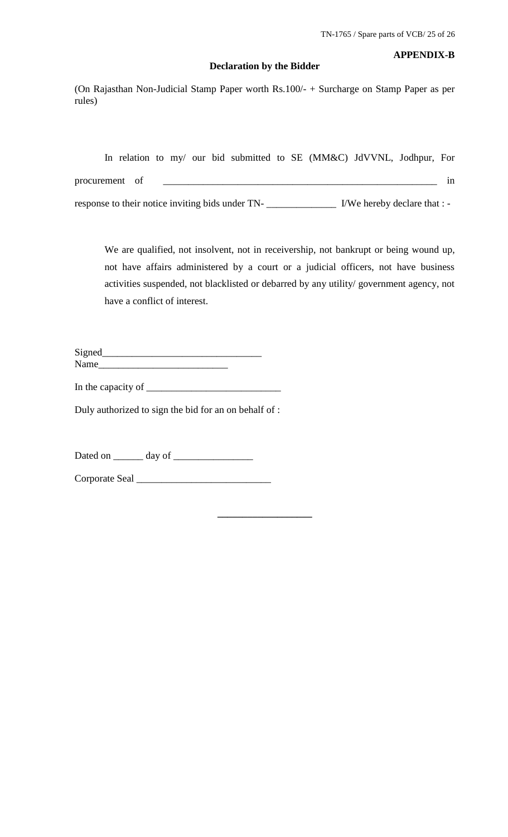# **Declaration by the Bidder**

# **APPENDIX-B**

(On Rajasthan Non-Judicial Stamp Paper worth Rs.100/- + Surcharge on Stamp Paper as per rules)

|  |                |  |  | In relation to my/ our bid submitted to SE (MM&C) JdVVNL, Jodhpur, For |  |                              |    |
|--|----------------|--|--|------------------------------------------------------------------------|--|------------------------------|----|
|  | procurement of |  |  |                                                                        |  |                              | 1n |
|  |                |  |  | response to their notice inviting bids under TN-                       |  | I/We hereby declare that : - |    |

We are qualified, not insolvent, not in receivership, not bankrupt or being wound up, not have affairs administered by a court or a judicial officers, not have business activities suspended, not blacklisted or debarred by any utility/ government agency, not have a conflict of interest.

**\_\_\_\_\_\_\_\_\_\_\_\_\_\_\_\_\_\_\_**

| Signed |  |
|--------|--|
| Name   |  |

In the capacity of  $\frac{1}{\sqrt{1-\frac{1}{2}}}\left\vert \frac{1}{\sqrt{1-\frac{1}{2}}}\right\vert$ 

Duly authorized to sign the bid for an on behalf of :

Dated on \_\_\_\_\_\_ day of \_\_\_\_\_\_\_\_\_\_\_\_\_\_\_\_

Corporate Seal \_\_\_\_\_\_\_\_\_\_\_\_\_\_\_\_\_\_\_\_\_\_\_\_\_\_\_